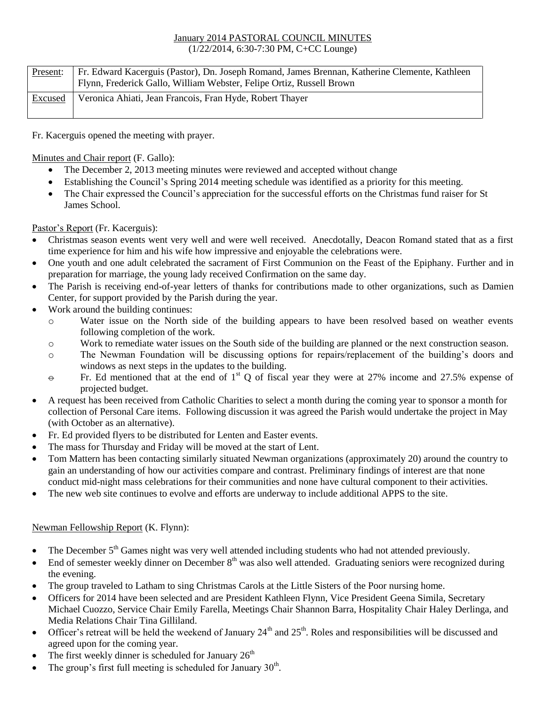## January 2014 PASTORAL COUNCIL MINUTES (1/22/2014, 6:30-7:30 PM, C+CC Lounge)

| Present: | Fr. Edward Kacerguis (Pastor), Dn. Joseph Romand, James Brennan, Katherine Clemente, Kathleen<br>Flynn, Frederick Gallo, William Webster, Felipe Ortiz, Russell Brown |
|----------|-----------------------------------------------------------------------------------------------------------------------------------------------------------------------|
| Excused  | Veronica Ahiati, Jean Francois, Fran Hyde, Robert Thayer                                                                                                              |

Fr. Kacerguis opened the meeting with prayer.

Minutes and Chair report (F. Gallo):

- The December 2, 2013 meeting minutes were reviewed and accepted without change
- Establishing the Council's Spring 2014 meeting schedule was identified as a priority for this meeting.
- The Chair expressed the Council's appreciation for the successful efforts on the Christmas fund raiser for St James School.

Pastor's Report (Fr. Kacerguis):

- Christmas season events went very well and were well received. Anecdotally, Deacon Romand stated that as a first time experience for him and his wife how impressive and enjoyable the celebrations were.
- One youth and one adult celebrated the sacrament of First Communion on the Feast of the Epiphany. Further and in preparation for marriage, the young lady received Confirmation on the same day.
- The Parish is receiving end-of-year letters of thanks for contributions made to other organizations, such as Damien Center, for support provided by the Parish during the year.
- Work around the building continues:
	- o Water issue on the North side of the building appears to have been resolved based on weather events following completion of the work.
	- o Work to remediate water issues on the South side of the building are planned or the next construction season.
	- o The Newman Foundation will be discussing options for repairs/replacement of the building's doors and windows as next steps in the updates to the building.
	- $\Theta$  Fr. Ed mentioned that at the end of 1<sup>st</sup> Q of fiscal year they were at 27% income and 27.5% expense of projected budget.
- A request has been received from Catholic Charities to select a month during the coming year to sponsor a month for collection of Personal Care items. Following discussion it was agreed the Parish would undertake the project in May (with October as an alternative).
- Fr. Ed provided flyers to be distributed for Lenten and Easter events.
- The mass for Thursday and Friday will be moved at the start of Lent.
- Tom Mattern has been contacting similarly situated Newman organizations (approximately 20) around the country to gain an understanding of how our activities compare and contrast. Preliminary findings of interest are that none conduct mid-night mass celebrations for their communities and none have cultural component to their activities.
- The new web site continues to evolve and efforts are underway to include additional APPS to the site.

## Newman Fellowship Report (K. Flynn):

- $\bullet$  The December  $5<sup>th</sup>$  Games night was very well attended including students who had not attended previously.
- End of semester weekly dinner on December 8<sup>th</sup> was also well attended. Graduating seniors were recognized during the evening.
- The group traveled to Latham to sing Christmas Carols at the Little Sisters of the Poor nursing home.
- Officers for 2014 have been selected and are President Kathleen Flynn, Vice President Geena Simila, Secretary Michael Cuozzo, Service Chair Emily Farella, Meetings Chair Shannon Barra, Hospitality Chair Haley Derlinga, and Media Relations Chair Tina Gilliland.
- Officer's retreat will be held the weekend of January  $24<sup>th</sup>$  and  $25<sup>th</sup>$ . Roles and responsibilities will be discussed and agreed upon for the coming year.
- The first weekly dinner is scheduled for January  $26<sup>th</sup>$
- The group's first full meeting is scheduled for January  $30<sup>th</sup>$ .